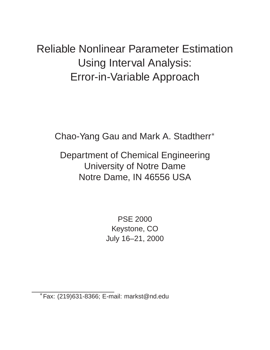Reliable Nonlinear Parameter Estimation Using Interval Analysis: Error-in-Variable Approach

Chao-Yang Gau and Mark A. Stadtherr

Department of Chemical Engineering University of Notre Dame Notre Dame, IN 46556 USA

> PSE 2000 Keystone, CO July 16–21, 2000

Fax: (219)631-8366; E-mail: markst@nd.edu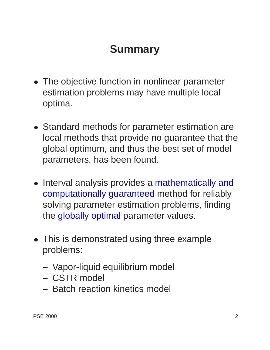### **Summary**

- The objective function in nonlinear parameter estimation problems may have multiple local optima.
- Standard methods for parameter estimation are local methods that provide no guarantee that the global optimum, and thus the best set of model parameters, has been found.
- Interval analysis provides a mathematically and computationally guaranteed method for reliably solving parameter estimation problems, finding the globally optimal parameter values.
- This is demonstrated using three example problems:
	- **–** Vapor-liquid equilibrium model
	- **–** CSTR model
	- **–** Batch reaction kinetics model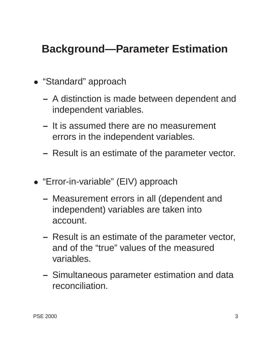### **Background—Parameter Estimation**

- "Standard" approach
	- **–** A distinction is made between dependent and independent variables.
	- **–** It is assumed there are no measurement errors in the independent variables.
	- **–** Result is an estimate of the parameter vector.
- "Error-in-variable" (EIV) approach
	- **–** Measurement errors in all (dependent and independent) variables are taken into account.
	- **–** Result is an estimate of the parameter vector, and of the "true" values of the measured variables.
	- **–** Simultaneous parameter estimation and data reconciliation.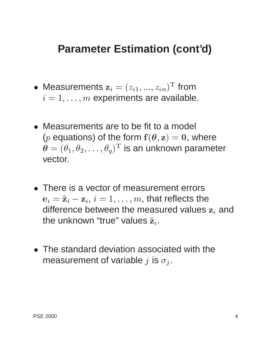#### **Parameter Estimation (cont'd)**

- $\bullet\,$  Measurements  $\mathbf{z}_i=(z_{i1},...,z_{in})^\mathrm{T}$  from  $i = 1, \ldots, m$  experiments are available.
- Measurements are to be fit to a model (*p* equations) of the form  $f(\theta, z) = 0$ , where  $\boldsymbol{\theta} = (\theta_1, \theta_2, \ldots, \theta_q)^\mathrm{T}$  is an unknown parameter vector.
- There is a vector of measurement errors  ${\bf e}_i = \tilde{\bf z}_i - {\bf z}_i, i = 1,\ldots,m$ , that reflects the difference between the measured values  $z_i$  and the unknown "true" values  $\tilde{\mathbf{z}}_i$ .
- The standard deviation associated with the measurement of variable j is  $\sigma_i$ .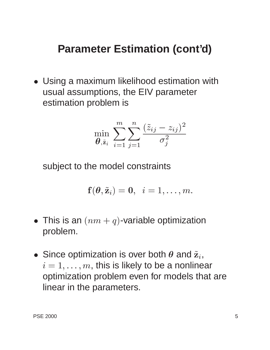#### **Parameter Estimation (cont'd)**

 Using a maximum likelihood estimation with usual assumptions, the EIV parameter estimation problem is

$$
\min_{\boldsymbol{\theta}, \tilde{\textbf{z}}_i} \; \sum_{i=1}^m \sum_{j=1}^n \frac{(\tilde{z}_{ij}-z_{ij})^2}{\sigma_j^2}
$$

subject to the model constraints

$$
\mathbf{f}(\boldsymbol{\theta}, \tilde{\mathbf{z}}_i) = \mathbf{0}, \ \ i = 1, \ldots, m.
$$

- $\bullet\,$  This is an  $(\,nm+q)\,$ -variable optimization problem.
- $\bullet\,$  Since optimization is over both  $\theta$  and  $\tilde{\mathbf{z}}_i, \quad$  $i = 1, \ldots, m$ , this is likely to be a nonlinear optimization problem even for models that are linear in the parameters.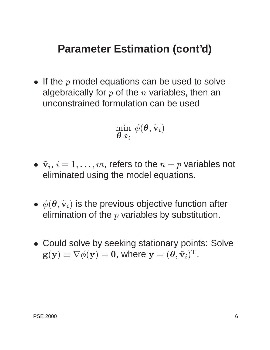#### **Parameter Estimation (cont'd)**

 $\bullet\,$  If the  $p$  model equations can be used to solve algebraically for  $p$  of the  $n$  variables, then an unconstrained formulation can be used

$$
\min_{\boldsymbol{\theta}, \tilde{\mathbf{v}}_i} \; \phi(\boldsymbol{\theta}, \tilde{\mathbf{v}}_i)
$$

- $\bullet~~\tilde{\textbf{v}}_i,~i = 1,\dots,m,$  refers to the  $n-p$  variables not eliminated using the model equations.
- $\bullet \;\phi(\bm{\theta}, \tilde{\mathbf{v}}_i)$  is the previous objective function after elimination of the  $p$  variables by substitution.
- Could solve by seeking stationary points: Solve  $\mathbf{g}(\mathbf{y}) \equiv \nabla \phi(\mathbf{y}) = \mathbf{0},$  where  $\mathbf{y} = (\boldsymbol{\theta}, \tilde{\mathbf{v}}_i)^\mathrm{T}.$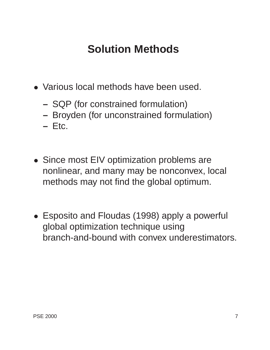# **Solution Methods**

- Various local methods have been used.
	- **–** SQP (for constrained formulation)
	- **–** Broyden (for unconstrained formulation)
	- **–** Etc.
- Since most EIV optimization problems are nonlinear, and many may be nonconvex, local methods may not find the global optimum.
- Esposito and Floudas (1998) apply a powerful global optimization technique using branch-and-bound with convex underestimators.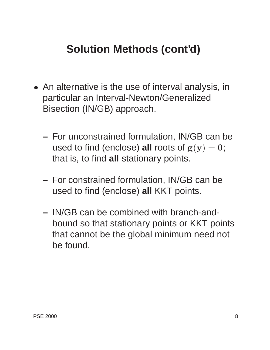# **Solution Methods (cont'd)**

- An alternative is the use of interval analysis, in particular an Interval-Newton/Generalized Bisection (IN/GB) approach.
	- **–** For unconstrained formulation, IN/GB can be used to find (enclose) **all** roots of  $g(y) = 0$ ; that is, to find **all** stationary points.
	- **–** For constrained formulation, IN/GB can be used to find (enclose) **all** KKT points.
	- **–** IN/GB can be combined with branch-andbound so that stationary points or KKT points that cannot be the global minimum need not be found.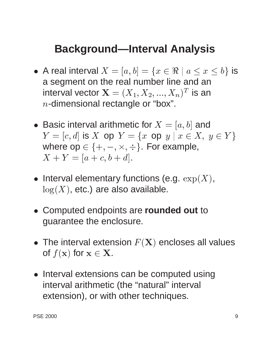#### **Background—Interval Analysis**

- $\bullet\,$  A real interval  $X=[a,b]=\{x\in \Re\mid a\leq x\leq b\}$  is a segment on the real number line and an interval vector  $\mathbf{X}=(X_1,X_2,...,X_n)^T$  is an  $n$ -dimensional rectangle or "box".
- $\bullet\,$  Basic interval arithmetic for  $X=[a,b]$  and  $Y = [c, d]$  is X op  $Y = \{x \text{ op } y \mid x \in X, y \in Y\}$ where op  $\in \{+, -, \times, \div\}$ . For example,  $X + Y = [a + c, b + d].$
- Interval elementary functions (e.g.  $\exp(X)$ ,  $log(X)$ , etc.) are also available.
- Computed endpoints are **rounded out** to guarantee the enclosure.
- $\bullet\,$  The interval extension  $F({\bf X})$  encloses all values of  $f(\mathbf{x})$  for  $\mathbf{x} \in \mathbf{X}$ .
- Interval extensions can be computed using interval arithmetic (the "natural" interval extension), or with other techniques.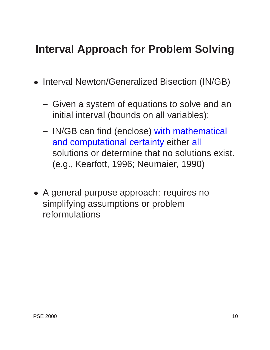#### **Interval Approach for Problem Solving**

- **Interval Newton/Generalized Bisection (IN/GB)** 
	- **–** Given a system of equations to solve and an initial interval (bounds on all variables):
	- **–** IN/GB can find (enclose) with mathematical and computational certainty either all solutions or determine that no solutions exist. (e.g., Kearfott, 1996; Neumaier, 1990)
- A general purpose approach: requires no simplifying assumptions or problem reformulations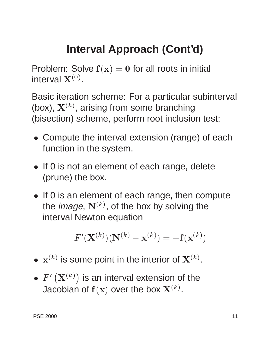# **Interval Approach (Cont'd)**

Problem: Solve  $f(x) = 0$  for all roots in initial interval  $\mathbf{X}^{(0)}.$ 

Basic iteration scheme: For a particular subinterval (box),  $\mathbf{X}^{(k)}$ , arising from some branching (bisection) scheme, perform root inclusion test:

- Compute the interval extension (range) of each function in the system.
- If 0 is not an element of each range, delete (prune) the box.
- If 0 is an element of each range, then compute the *image*,  $\mathbf{N}^{(k)}$ , of the box by solving the interval Newton equation

$$
F'(\mathbf{X}^{(k)})(\mathbf{N}^{(k)}-\mathbf{x}^{(k)})=-\mathbf{f}(\mathbf{x}^{(k)})
$$

- $\bullet\,$   $\mathbf{x}^{(k)}$  is some point in the interior of  $\mathbf{X}^{(k)}.$
- $\bullet \ \ F' \left( {{\bf{X}}^{(k)}} \right)$  is an interval extension of the Jacobian of  $\mathbf{f}(\mathbf{x})$  over the box  $\mathbf{X}^{(k)}.$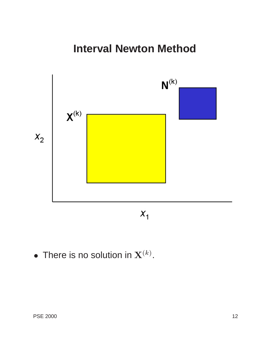#### **Interval Newton Method**



 $\bullet\,$  There is no solution in  $\mathbf{X}^{(k)}.$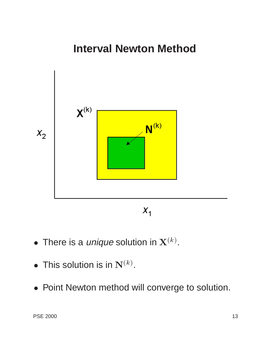#### **Interval Newton Method**



- $\bullet\,$  There is a *unique* solution in  $\mathbf{X}^{(k)}.$
- $\bullet\,$  This solution is in  $\mathbf{N}^{(k)}.$
- Point Newton method will converge to solution.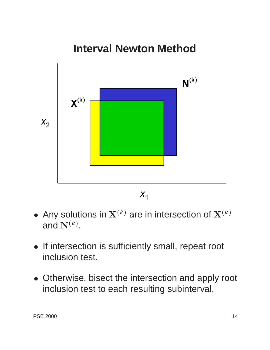

- $\bullet\,$  Any solutions in  $\mathbf{X}^{(k)}$  are in intersection of  $\mathbf{X}^{(k)}$ and  $\mathbf{N}^{(k)}.$
- If intersection is sufficiently small, repeat root inclusion test.
- Otherwise, bisect the intersection and apply root inclusion test to each resulting subinterval.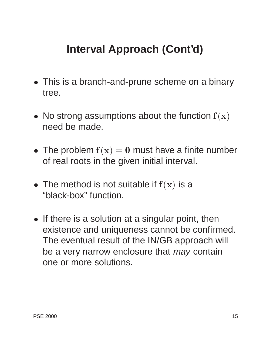# **Interval Approach (Cont'd)**

- This is a branch-and-prune scheme on a binary tree.
- $\bullet\,$  No strong assumptions about the function  ${\bf f}({\bf x})$ need be made.
- The problem  $f(x) = 0$  must have a finite number of real roots in the given initial interval.
- The method is not suitable if  $f(x)$  is a "black-box" function.
- If there is a solution at a singular point, then existence and uniqueness cannot be confirmed. The eventual result of the IN/GB approach will be a very narrow enclosure that *may* contain one or more solutions.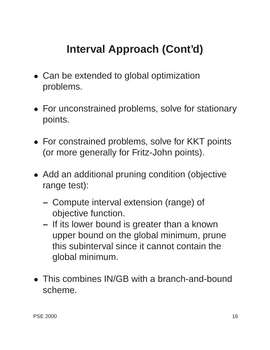# **Interval Approach (Cont'd)**

- Can be extended to global optimization problems.
- For unconstrained problems, solve for stationary points.
- For constrained problems, solve for KKT points (or more generally for Fritz-John points).
- Add an additional pruning condition (objective range test):
	- **–** Compute interval extension (range) of objective function.
	- **–** If its lower bound is greater than a known upper bound on the global minimum, prune this subinterval since it cannot contain the global minimum.
- This combines IN/GB with a branch-and-bound scheme.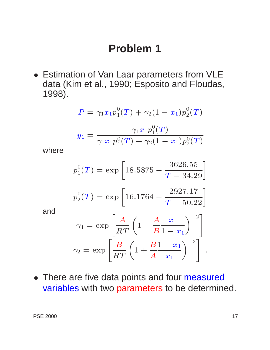#### **Problem 1**

 Estimation of Van Laar parameters from VLE data (Kim et al., 1990; Esposito and Floudas, 1998).

$$
P = \gamma_1 x_1 p_1^0(T) + \gamma_2 (1 - x_1) p_2^0(T)
$$
  

$$
y_1 = \frac{\gamma_1 x_1 p_1^0(T)}{\gamma_1 x_1 p_1^0(T) + \gamma_2 (1 - x_1) p_2^0(T)}
$$

where

$$
p_1^0(T) = \exp\left[18.5875 - \frac{3626.55}{T - 34.29}\right]
$$

$$
p_2^0(T) = \exp\left[16.1764 - \frac{2927.17}{T - 50.22}\right]
$$

and

$$
\gamma_1 = \exp\left[\frac{A}{RT}\left(1 + \frac{A}{B}\frac{x_1}{1 - x_1}\right)^{-2}\right]
$$

$$
\gamma_2 = \exp\left[\frac{B}{RT}\left(1 + \frac{B}{A}\frac{1 - x_1}{x_1}\right)^{-2}\right].
$$

• There are five data points and four measured variables with two parameters to be determined.

: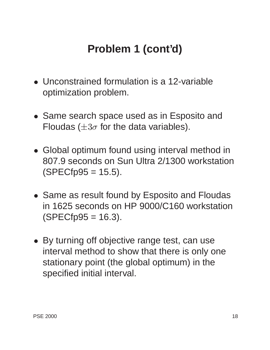# **Problem 1 (cont'd)**

- Unconstrained formulation is a 12-variable optimization problem.
- **Same search space used as in Esposito and** Floudas ( $\pm 3\sigma$  for the data variables).
- Global optimum found using interval method in 807.9 seconds on Sun Ultra 2/1300 workstation  $(SPECfp95 = 15.5)$ .
- Same as result found by Esposito and Floudas in 1625 seconds on HP 9000/C160 workstation  $(SPECfp95 = 16.3)$ .
- By turning off objective range test, can use interval method to show that there is only one stationary point (the global optimum) in the specified initial interval.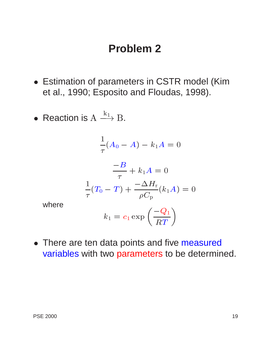#### **Problem 2**

- Estimation of parameters in CSTR model (Kim et al., 1990; Esposito and Floudas, 1998).
- Reaction is  $\mathrm{A} \stackrel{\mathtt{a}_1}{\longrightarrow} \mathrm{B}.$

$$
\frac{1}{\tau}(A_0 - A) - k_1 A = 0
$$

$$
\frac{-B}{\tau} + k_1 A = 0
$$

$$
\frac{1}{\tau}(T_0 - T) + \frac{-\Delta H_r}{\rho C_p}(k_1 A) = 0
$$

where

$$
k_1=c_1\exp\left(\frac{-Q_1}{RT}\right)
$$

• There are ten data points and five measured variables with two parameters to be determined.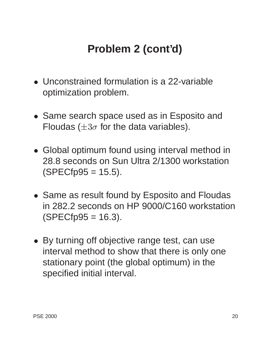# **Problem 2 (cont'd)**

- Unconstrained formulation is a 22-variable optimization problem.
- **Same search space used as in Esposito and** Floudas ( $\pm 3\sigma$  for the data variables).
- Global optimum found using interval method in 28.8 seconds on Sun Ultra 2/1300 workstation  $(SPECfp95 = 15.5)$ .
- Same as result found by Esposito and Floudas in 282.2 seconds on HP 9000/C160 workstation  $(SPECfp95 = 16.3)$ .
- By turning off objective range test, can use interval method to show that there is only one stationary point (the global optimum) in the specified initial interval.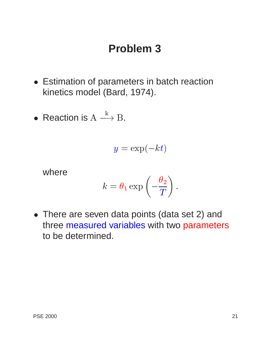#### **Problem 3**

- Estimation of parameters in batch reaction kinetics model (Bard, 1974).
- $\bullet$  Reaction is  $\mathrm{A}\stackrel{\scriptscriptstyle\mathrm{K}}{\longrightarrow}\mathrm{B}.$

$$
y = \exp(-kt)
$$

where

$$
k = \theta_1 \exp\left(-\frac{\theta_2}{T}\right).
$$

 There are seven data points (data set 2) and three measured variables with two parameters to be determined.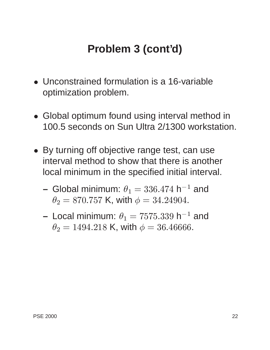## **Problem 3 (cont'd)**

- Unconstrained formulation is a 16-variable optimization problem.
- Global optimum found using interval method in 100.5 seconds on Sun Ultra 2/1300 workstation.
- By turning off objective range test, can use interval method to show that there is another local minimum in the specified initial interval.
	- Global minimum:  $\theta_1 = 336.474$  h $^{-1}$  and  $\theta_2 = 870.757$  K, with  $\phi = 34.24904$ .
	- $-$  Local minimum:  $\theta_1 = 7575.339$  h $^{-1}$  and  $\theta_2 = 1494.218$  K, with  $\phi = 36.46666$ .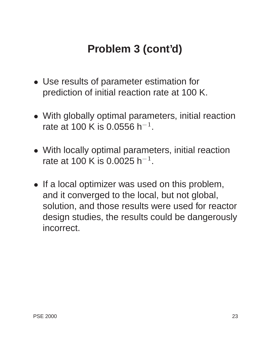# **Problem 3 (cont'd)**

- Use results of parameter estimation for prediction of initial reaction rate at 100 K.
- With globally optimal parameters, initial reaction rate at 100 K is 0.0556 h $^{\rm -1}.$
- With locally optimal parameters, initial reaction rate at 100 K is 0.0025 h $^{\rm -1}.$
- If a local optimizer was used on this problem, and it converged to the local, but not global, solution, and those results were used for reactor design studies, the results could be dangerously incorrect.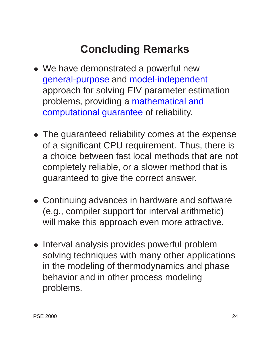# **Concluding Remarks**

- We have demonstrated a powerful new general-purpose and model-independent approach for solving EIV parameter estimation problems, providing a mathematical and computational guarantee of reliability.
- The guaranteed reliability comes at the expense of a significant CPU requirement. Thus, there is a choice between fast local methods that are not completely reliable, or a slower method that is guaranteed to give the correct answer.
- Continuing advances in hardware and software (e.g., compiler support for interval arithmetic) will make this approach even more attractive.
- Interval analysis provides powerful problem solving techniques with many other applications in the modeling of thermodynamics and phase behavior and in other process modeling problems.